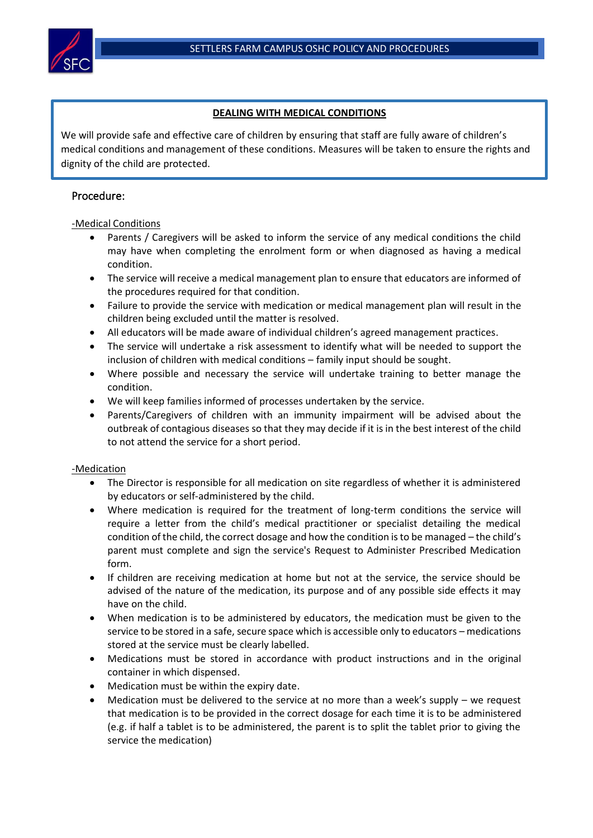# **DEALING WITH MEDICAL CONDITIONS**

We will provide safe and effective care of children by ensuring that staff are fully aware of children's medical conditions and management of these conditions. Measures will be taken to ensure the rights and dignity of the child are protected.

# Procedure:

### -Medical Conditions

- Parents / Caregivers will be asked to inform the service of any medical conditions the child may have when completing the enrolment form or when diagnosed as having a medical condition.
- The service will receive a medical management plan to ensure that educators are informed of the procedures required for that condition.
- Failure to provide the service with medication or medical management plan will result in the children being excluded until the matter is resolved.
- All educators will be made aware of individual children's agreed management practices.
- The service will undertake a risk assessment to identify what will be needed to support the inclusion of children with medical conditions – family input should be sought.
- Where possible and necessary the service will undertake training to better manage the condition.
- We will keep families informed of processes undertaken by the service.
- Parents/Caregivers of children with an immunity impairment will be advised about the outbreak of contagious diseases so that they may decide if it is in the best interest of the child to not attend the service for a short period.

### -Medication

- The Director is responsible for all medication on site regardless of whether it is administered by educators or self-administered by the child.
- Where medication is required for the treatment of long-term conditions the service will require a letter from the child's medical practitioner or specialist detailing the medical condition of the child, the correct dosage and how the condition is to be managed – the child's parent must complete and sign the service's Request to Administer Prescribed Medication form.
- If children are receiving medication at home but not at the service, the service should be advised of the nature of the medication, its purpose and of any possible side effects it may have on the child.
- When medication is to be administered by educators, the medication must be given to the service to be stored in a safe, secure space which is accessible only to educators – medications stored at the service must be clearly labelled.
- Medications must be stored in accordance with product instructions and in the original container in which dispensed.
- Medication must be within the expiry date.
- Medication must be delivered to the service at no more than a week's supply  $-$  we request that medication is to be provided in the correct dosage for each time it is to be administered (e.g. if half a tablet is to be administered, the parent is to split the tablet prior to giving the service the medication)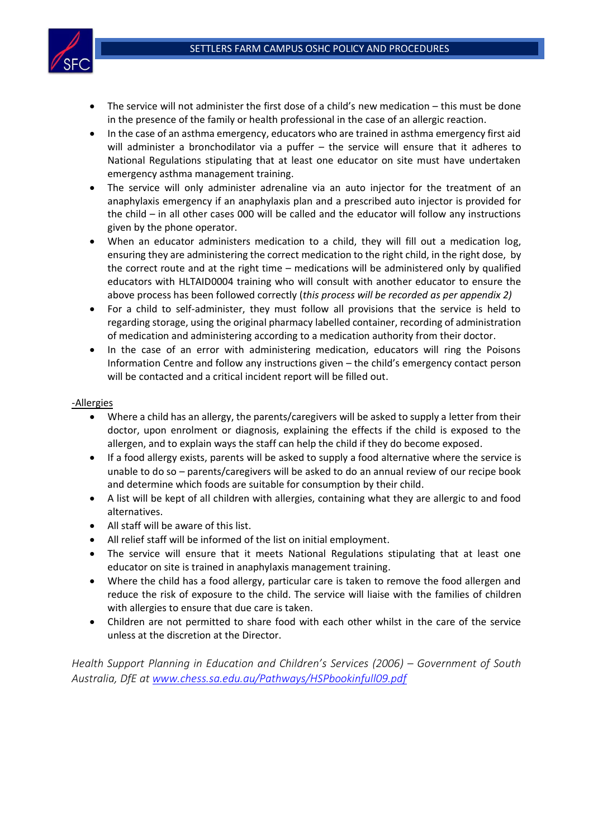

- The service will not administer the first dose of a child's new medication this must be done in the presence of the family or health professional in the case of an allergic reaction.
- In the case of an asthma emergency, educators who are trained in asthma emergency first aid will administer a bronchodilator via a puffer – the service will ensure that it adheres to National Regulations stipulating that at least one educator on site must have undertaken emergency asthma management training.
- The service will only administer adrenaline via an auto injector for the treatment of an anaphylaxis emergency if an anaphylaxis plan and a prescribed auto injector is provided for the child – in all other cases 000 will be called and the educator will follow any instructions given by the phone operator.
- When an educator administers medication to a child, they will fill out a medication log, ensuring they are administering the correct medication to the right child, in the right dose, by the correct route and at the right time – medications will be administered only by qualified educators with HLTAID0004 training who will consult with another educator to ensure the above process has been followed correctly (*this process will be recorded as per appendix 2)*
- For a child to self-administer, they must follow all provisions that the service is held to regarding storage, using the original pharmacy labelled container, recording of administration of medication and administering according to a medication authority from their doctor.
- In the case of an error with administering medication, educators will ring the Poisons Information Centre and follow any instructions given – the child's emergency contact person will be contacted and a critical incident report will be filled out.

#### -Allergies

- Where a child has an allergy, the parents/caregivers will be asked to supply a letter from their doctor, upon enrolment or diagnosis, explaining the effects if the child is exposed to the allergen, and to explain ways the staff can help the child if they do become exposed.
- If a food allergy exists, parents will be asked to supply a food alternative where the service is unable to do so – parents/caregivers will be asked to do an annual review of our recipe book and determine which foods are suitable for consumption by their child.
- A list will be kept of all children with allergies, containing what they are allergic to and food alternatives.
- All staff will be aware of this list.
- All relief staff will be informed of the list on initial employment.
- The service will ensure that it meets National Regulations stipulating that at least one educator on site is trained in anaphylaxis management training.
- Where the child has a food allergy, particular care is taken to remove the food allergen and reduce the risk of exposure to the child. The service will liaise with the families of children with allergies to ensure that due care is taken.
- Children are not permitted to share food with each other whilst in the care of the service unless at the discretion at the Director.

*Health Support Planning in Education and Children's Services (2006) – Government of South Australia, DfE at [www.chess.sa.edu.au/Pathways/HSPbookinfull09.pdf](http://www.chess.sa.edu.au/Pathways/HSPbookinfull09.pdf)*